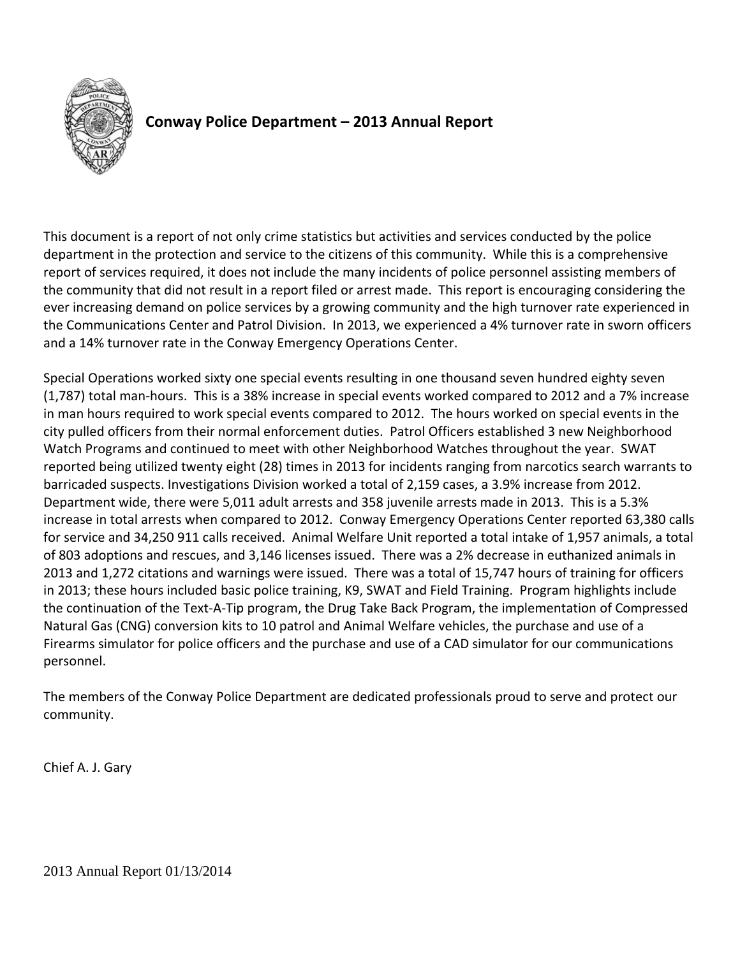

# **Conway Police Department – 2013 Annual Report**

This document is a report of not only crime statistics but activities and services conducted by the police department in the protection and service to the citizens of this community. While this is a comprehensive report of services required, it does not include the many incidents of police personnel assisting members of the community that did not result in a report filed or arrest made. This report is encouraging considering the ever increasing demand on police services by a growing community and the high turnover rate experienced in the Communications Center and Patrol Division. In 2013, we experienced a 4% turnover rate in sworn officers and a 14% turnover rate in the Conway Emergency Operations Center.

Special Operations worked sixty one special events resulting in one thousand seven hundred eighty seven (1,787) total man‐hours. This is a 38% increase in special events worked compared to 2012 and a 7% increase in man hours required to work special events compared to 2012. The hours worked on special events in the city pulled officers from their normal enforcement duties. Patrol Officers established 3 new Neighborhood Watch Programs and continued to meet with other Neighborhood Watches throughout the year. SWAT reported being utilized twenty eight (28) times in 2013 for incidents ranging from narcotics search warrants to barricaded suspects. Investigations Division worked a total of 2,159 cases, a 3.9% increase from 2012. Department wide, there were 5,011 adult arrests and 358 juvenile arrests made in 2013. This is a 5.3% increase in total arrests when compared to 2012. Conway Emergency Operations Center reported 63,380 calls for service and 34,250 911 calls received. Animal Welfare Unit reported a total intake of 1,957 animals, a total of 803 adoptions and rescues, and 3,146 licenses issued. There was a 2% decrease in euthanized animals in 2013 and 1,272 citations and warnings were issued. There was a total of 15,747 hours of training for officers in 2013; these hours included basic police training, K9, SWAT and Field Training. Program highlights include the continuation of the Text‐A‐Tip program, the Drug Take Back Program, the implementation of Compressed Natural Gas (CNG) conversion kits to 10 patrol and Animal Welfare vehicles, the purchase and use of a Firearms simulator for police officers and the purchase and use of a CAD simulator for our communications personnel.

The members of the Conway Police Department are dedicated professionals proud to serve and protect our community.

Chief A. J. Gary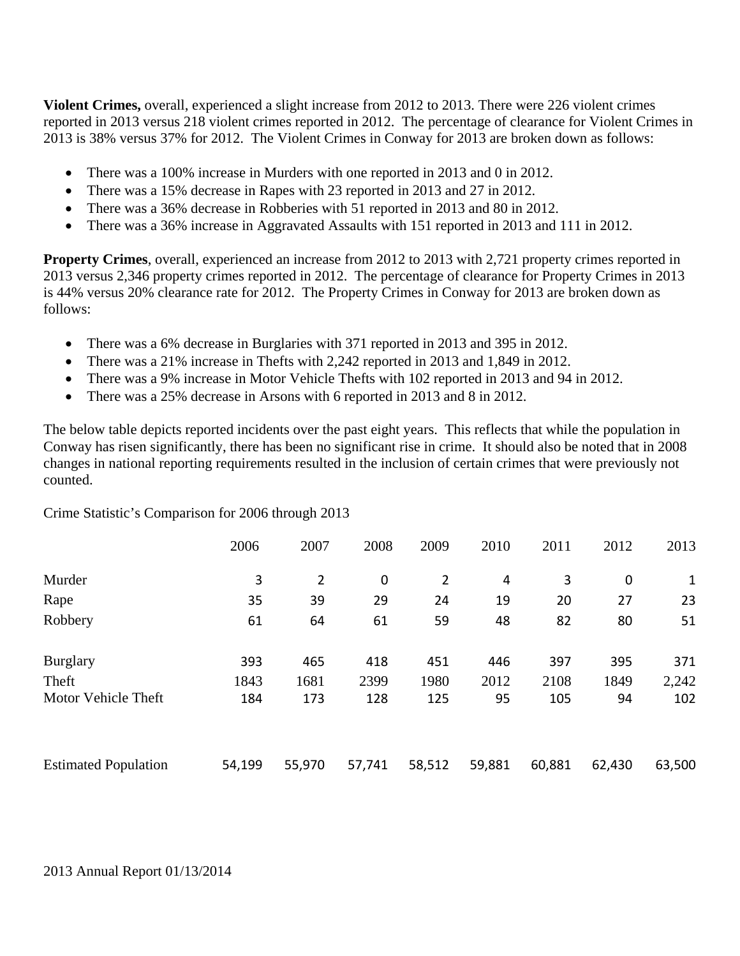**Violent Crimes,** overall, experienced a slight increase from 2012 to 2013. There were 226 violent crimes reported in 2013 versus 218 violent crimes reported in 2012. The percentage of clearance for Violent Crimes in 2013 is 38% versus 37% for 2012. The Violent Crimes in Conway for 2013 are broken down as follows:

- There was a 100% increase in Murders with one reported in 2013 and 0 in 2012.
- There was a 15% decrease in Rapes with 23 reported in 2013 and 27 in 2012.
- There was a 36% decrease in Robberies with 51 reported in 2013 and 80 in 2012.
- There was a 36% increase in Aggravated Assaults with 151 reported in 2013 and 111 in 2012.

**Property Crimes**, overall, experienced an increase from 2012 to 2013 with 2,721 property crimes reported in 2013 versus 2,346 property crimes reported in 2012. The percentage of clearance for Property Crimes in 2013 is 44% versus 20% clearance rate for 2012. The Property Crimes in Conway for 2013 are broken down as follows:

- There was a 6% decrease in Burglaries with 371 reported in 2013 and 395 in 2012.
- There was a 21% increase in Thefts with 2,242 reported in 2013 and 1,849 in 2012.
- There was a 9% increase in Motor Vehicle Thefts with 102 reported in 2013 and 94 in 2012.
- There was a 25% decrease in Arsons with 6 reported in 2013 and 8 in 2012.

The below table depicts reported incidents over the past eight years. This reflects that while the population in Conway has risen significantly, there has been no significant rise in crime. It should also be noted that in 2008 changes in national reporting requirements resulted in the inclusion of certain crimes that were previously not counted.

Crime Statistic's Comparison for 2006 through 2013

|                             | 2006   | 2007   | 2008             | 2009           | 2010   | 2011   | 2012             | 2013         |
|-----------------------------|--------|--------|------------------|----------------|--------|--------|------------------|--------------|
| Murder                      | 3      | 2      | $\boldsymbol{0}$ | $\overline{2}$ | 4      | 3      | $\boldsymbol{0}$ | $\mathbf{1}$ |
| Rape                        | 35     | 39     | 29               | 24             | 19     | 20     | 27               | 23           |
| Robbery                     | 61     | 64     | 61               | 59             | 48     | 82     | 80               | 51           |
| <b>Burglary</b>             | 393    | 465    | 418              | 451            | 446    | 397    | 395              | 371          |
| Theft                       | 1843   | 1681   | 2399             | 1980           | 2012   | 2108   | 1849             | 2,242        |
| Motor Vehicle Theft         | 184    | 173    | 128              | 125            | 95     | 105    | 94               | 102          |
| <b>Estimated Population</b> | 54,199 | 55,970 | 57,741           | 58,512         | 59,881 | 60,881 | 62,430           | 63,500       |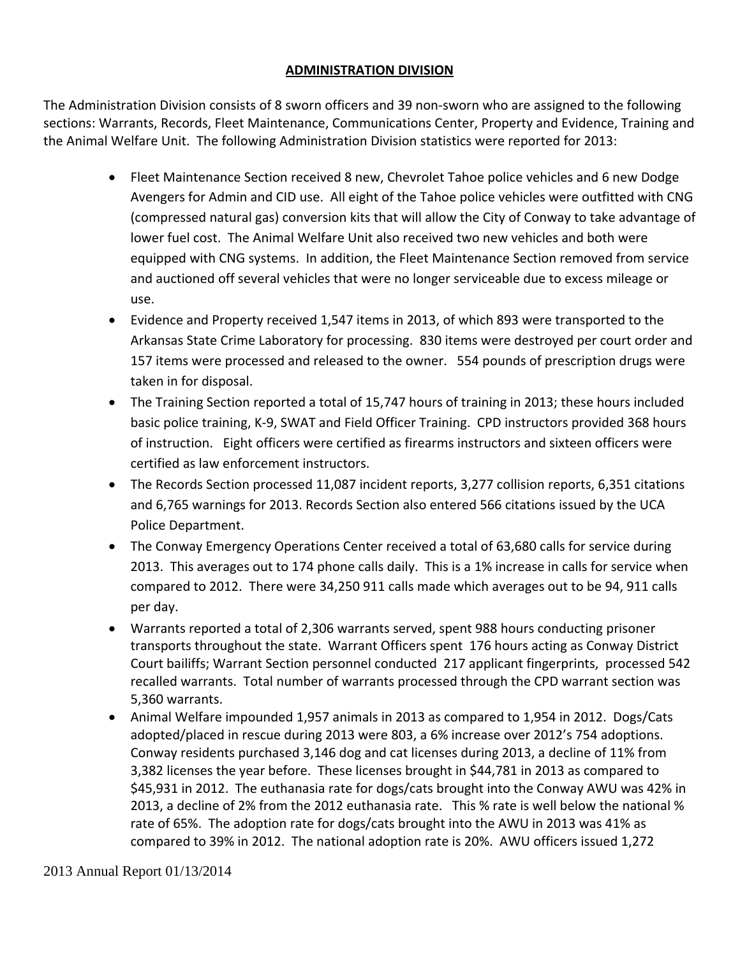### **ADMINISTRATION DIVISION**

The Administration Division consists of 8 sworn officers and 39 non‐sworn who are assigned to the following sections: Warrants, Records, Fleet Maintenance, Communications Center, Property and Evidence, Training and the Animal Welfare Unit. The following Administration Division statistics were reported for 2013:

- Fleet Maintenance Section received 8 new, Chevrolet Tahoe police vehicles and 6 new Dodge Avengers for Admin and CID use. All eight of the Tahoe police vehicles were outfitted with CNG (compressed natural gas) conversion kits that will allow the City of Conway to take advantage of lower fuel cost. The Animal Welfare Unit also received two new vehicles and both were equipped with CNG systems. In addition, the Fleet Maintenance Section removed from service and auctioned off several vehicles that were no longer serviceable due to excess mileage or use.
- Evidence and Property received 1,547 items in 2013, of which 893 were transported to the Arkansas State Crime Laboratory for processing. 830 items were destroyed per court order and 157 items were processed and released to the owner. 554 pounds of prescription drugs were taken in for disposal.
- The Training Section reported a total of 15,747 hours of training in 2013; these hours included basic police training, K‐9, SWAT and Field Officer Training. CPD instructors provided 368 hours of instruction. Eight officers were certified as firearms instructors and sixteen officers were certified as law enforcement instructors.
- The Records Section processed 11,087 incident reports, 3,277 collision reports, 6,351 citations and 6,765 warnings for 2013. Records Section also entered 566 citations issued by the UCA Police Department.
- The Conway Emergency Operations Center received a total of 63,680 calls for service during 2013. This averages out to 174 phone calls daily. This is a 1% increase in calls for service when compared to 2012. There were 34,250 911 calls made which averages out to be 94, 911 calls per day.
- Warrants reported a total of 2,306 warrants served, spent 988 hours conducting prisoner transports throughout the state. Warrant Officers spent 176 hours acting as Conway District Court bailiffs; Warrant Section personnel conducted 217 applicant fingerprints, processed 542 recalled warrants. Total number of warrants processed through the CPD warrant section was 5,360 warrants.
- Animal Welfare impounded 1,957 animals in 2013 as compared to 1,954 in 2012. Dogs/Cats adopted/placed in rescue during 2013 were 803, a 6% increase over 2012's 754 adoptions. Conway residents purchased 3,146 dog and cat licenses during 2013, a decline of 11% from 3,382 licenses the year before. These licenses brought in \$44,781 in 2013 as compared to \$45,931 in 2012. The euthanasia rate for dogs/cats brought into the Conway AWU was 42% in 2013, a decline of 2% from the 2012 euthanasia rate. This % rate is well below the national % rate of 65%. The adoption rate for dogs/cats brought into the AWU in 2013 was 41% as compared to 39% in 2012. The national adoption rate is 20%. AWU officers issued 1,272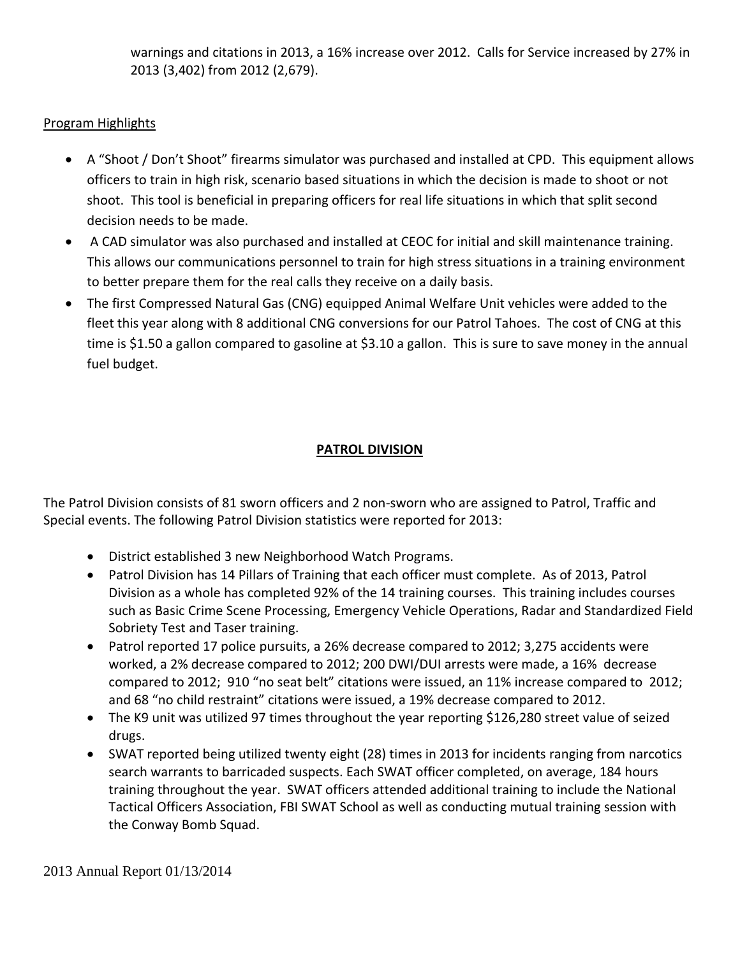warnings and citations in 2013, a 16% increase over 2012. Calls for Service increased by 27% in 2013 (3,402) from 2012 (2,679).

# Program Highlights

- A "Shoot / Don't Shoot" firearms simulator was purchased and installed at CPD. This equipment allows officers to train in high risk, scenario based situations in which the decision is made to shoot or not shoot. This tool is beneficial in preparing officers for real life situations in which that split second decision needs to be made.
- A CAD simulator was also purchased and installed at CEOC for initial and skill maintenance training. This allows our communications personnel to train for high stress situations in a training environment to better prepare them for the real calls they receive on a daily basis.
- The first Compressed Natural Gas (CNG) equipped Animal Welfare Unit vehicles were added to the fleet this year along with 8 additional CNG conversions for our Patrol Tahoes. The cost of CNG at this time is \$1.50 a gallon compared to gasoline at \$3.10 a gallon. This is sure to save money in the annual fuel budget.

# **PATROL DIVISION**

The Patrol Division consists of 81 sworn officers and 2 non‐sworn who are assigned to Patrol, Traffic and Special events. The following Patrol Division statistics were reported for 2013:

- District established 3 new Neighborhood Watch Programs.
- Patrol Division has 14 Pillars of Training that each officer must complete. As of 2013, Patrol Division as a whole has completed 92% of the 14 training courses. This training includes courses such as Basic Crime Scene Processing, Emergency Vehicle Operations, Radar and Standardized Field Sobriety Test and Taser training.
- Patrol reported 17 police pursuits, a 26% decrease compared to 2012; 3,275 accidents were worked, a 2% decrease compared to 2012; 200 DWI/DUI arrests were made, a 16% decrease compared to 2012; 910 "no seat belt" citations were issued, an 11% increase compared to 2012; and 68 "no child restraint" citations were issued, a 19% decrease compared to 2012.
- The K9 unit was utilized 97 times throughout the year reporting \$126,280 street value of seized drugs.
- SWAT reported being utilized twenty eight (28) times in 2013 for incidents ranging from narcotics search warrants to barricaded suspects. Each SWAT officer completed, on average, 184 hours training throughout the year. SWAT officers attended additional training to include the National Tactical Officers Association, FBI SWAT School as well as conducting mutual training session with the Conway Bomb Squad.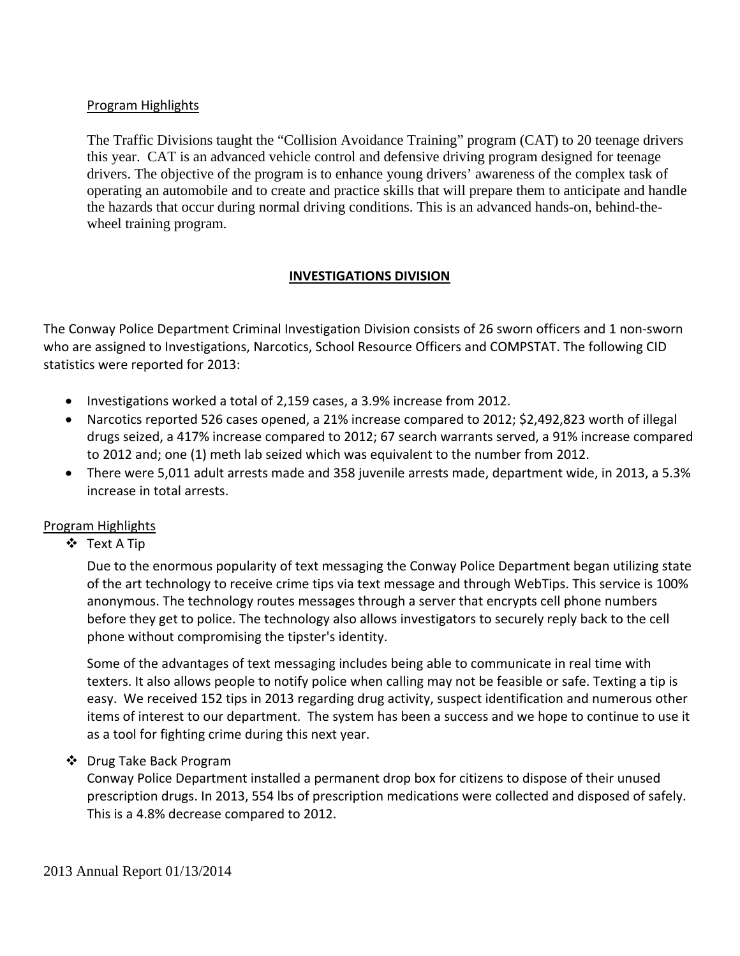### Program Highlights

 The Traffic Divisions taught the "Collision Avoidance Training" program (CAT) to 20 teenage drivers this year. CAT is an advanced vehicle control and defensive driving program designed for teenage drivers. The objective of the program is to enhance young drivers' awareness of the complex task of operating an automobile and to create and practice skills that will prepare them to anticipate and handle the hazards that occur during normal driving conditions. This is an advanced hands-on, behind-the wheel training program.

### **INVESTIGATIONS DIVISION**

The Conway Police Department Criminal Investigation Division consists of 26 sworn officers and 1 non‐sworn who are assigned to Investigations, Narcotics, School Resource Officers and COMPSTAT. The following CID statistics were reported for 2013:

- Investigations worked a total of 2,159 cases, a 3.9% increase from 2012.
- Narcotics reported 526 cases opened, a 21% increase compared to 2012; \$2,492,823 worth of illegal drugs seized, a 417% increase compared to 2012; 67 search warrants served, a 91% increase compared to 2012 and; one (1) meth lab seized which was equivalent to the number from 2012.
- There were 5,011 adult arrests made and 358 juvenile arrests made, department wide, in 2013, a 5.3% increase in total arrests.

#### Program Highlights

Text A Tip

Due to the enormous popularity of text messaging the Conway Police Department began utilizing state of the art technology to receive crime tips via text message and through WebTips. This service is 100% anonymous. The technology routes messages through a server that encrypts cell phone numbers before they get to police. The technology also allows investigators to securely reply back to the cell phone without compromising the tipster's identity.

Some of the advantages of text messaging includes being able to communicate in real time with texters. It also allows people to notify police when calling may not be feasible or safe. Texting a tip is easy. We received 152 tips in 2013 regarding drug activity, suspect identification and numerous other items of interest to our department. The system has been a success and we hope to continue to use it as a tool for fighting crime during this next year.

#### ❖ Drug Take Back Program

Conway Police Department installed a permanent drop box for citizens to dispose of their unused prescription drugs. In 2013, 554 lbs of prescription medications were collected and disposed of safely. This is a 4.8% decrease compared to 2012.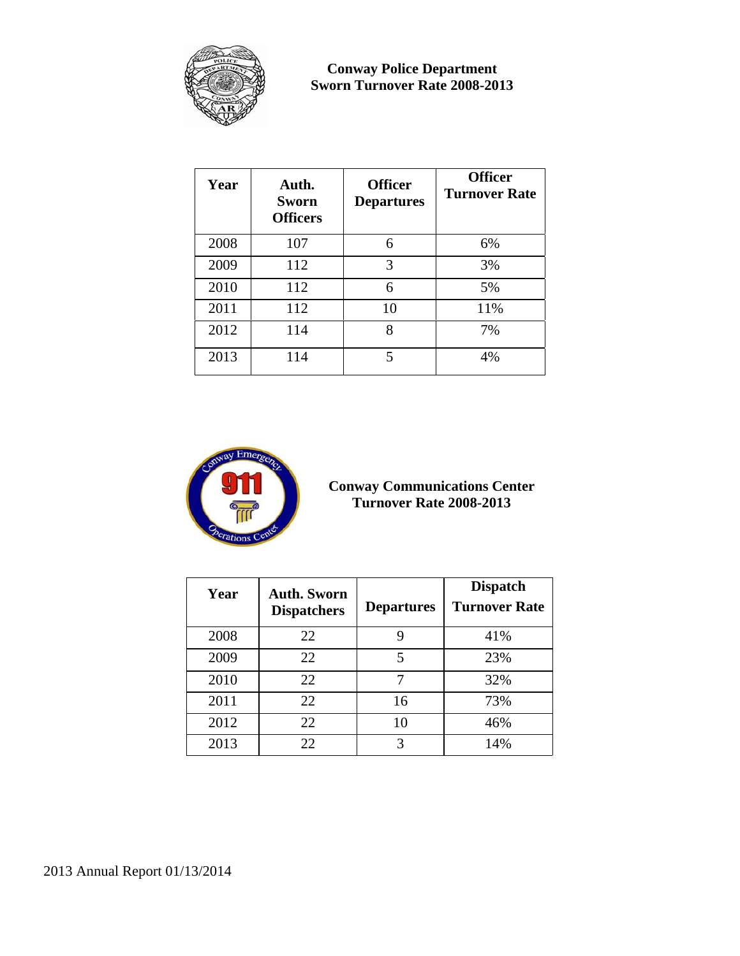

**Conway Police Department Sworn Turnover Rate 2008-2013** 

| Year | Auth.<br><b>Sworn</b><br><b>Officers</b> | <b>Officer</b><br><b>Departures</b> | <b>Officer</b><br><b>Turnover Rate</b> |
|------|------------------------------------------|-------------------------------------|----------------------------------------|
| 2008 | 107                                      | 6                                   | 6%                                     |
| 2009 | 112                                      | 3                                   | 3%                                     |
| 2010 | 112                                      | 6                                   | 5%                                     |
| 2011 | 112                                      | 10                                  | 11%                                    |
| 2012 | 114                                      | 8                                   | 7%                                     |
| 2013 | 114                                      | 5                                   | 4%                                     |



**Conway Communications Center Turnover Rate 2008-2013** 

| Year | <b>Auth. Sworn</b><br><b>Dispatchers</b> | <b>Departures</b> | <b>Dispatch</b><br><b>Turnover Rate</b> |
|------|------------------------------------------|-------------------|-----------------------------------------|
| 2008 | 22                                       | 9                 | 41%                                     |
| 2009 | 22                                       | 5                 | 23%                                     |
| 2010 | 22                                       |                   | 32%                                     |
| 2011 | 22                                       | 16                | 73%                                     |
| 2012 | 22                                       | 10                | 46%                                     |
| 2013 | 22                                       | 3                 | 14%                                     |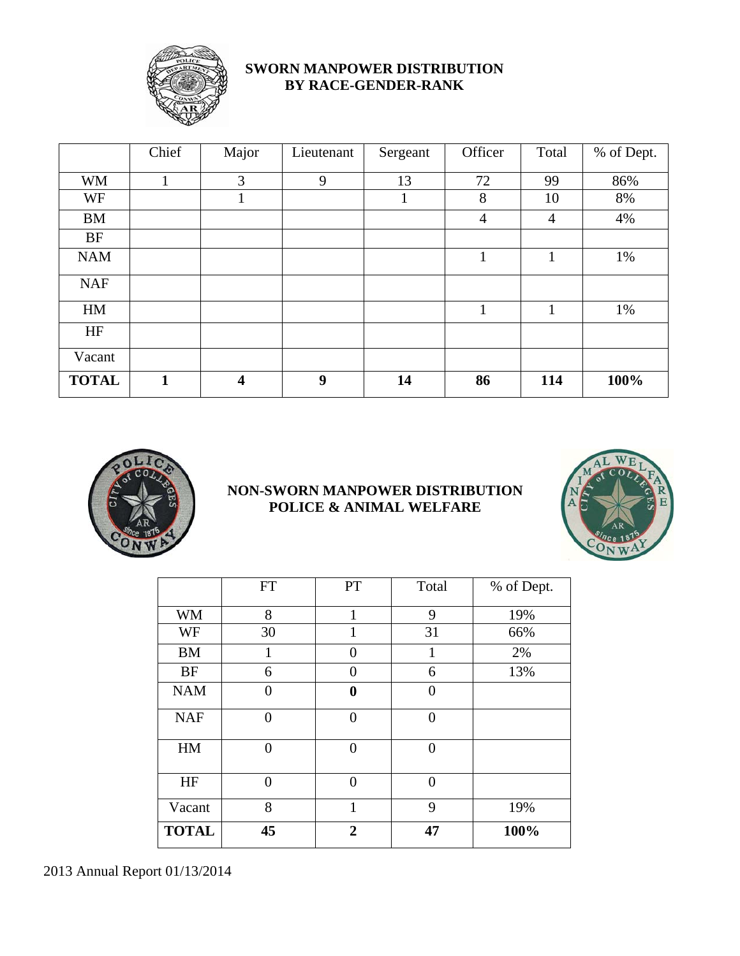

# **SWORN MANPOWER DISTRIBUTION BY RACE-GENDER-RANK**

|              | Chief        | Major                   | Lieutenant | Sergeant | Officer        | Total        | % of Dept. |
|--------------|--------------|-------------------------|------------|----------|----------------|--------------|------------|
| <b>WM</b>    | 1            | 3                       | 9          | 13       | 72             | 99           | 86%        |
| WF           |              | 1                       |            | л        | 8              | 10           | 8%         |
| <b>BM</b>    |              |                         |            |          | $\overline{4}$ | 4            | 4%         |
| <b>BF</b>    |              |                         |            |          |                |              |            |
| <b>NAM</b>   |              |                         |            |          | $\mathbf{1}$   | $\mathbf{1}$ | 1%         |
| <b>NAF</b>   |              |                         |            |          |                |              |            |
| HM           |              |                         |            |          | 1              | $\mathbf{1}$ | 1%         |
| HF           |              |                         |            |          |                |              |            |
| Vacant       |              |                         |            |          |                |              |            |
| <b>TOTAL</b> | $\mathbf{1}$ | $\overline{\mathbf{4}}$ | 9          | 14       | 86             | 114          | 100%       |



# **NON-SWORN MANPOWER DISTRIBUTION POLICE & ANIMAL WELFARE**



|              | <b>FT</b>      | PT             | Total          | % of Dept. |
|--------------|----------------|----------------|----------------|------------|
| <b>WM</b>    | 8              | 1              | 9              | 19%        |
| WF           | 30             | 1              | 31             | 66%        |
| <b>BM</b>    | 1              | 0              | 1              | 2%         |
| <b>BF</b>    | 6              | 0              | 6              | 13%        |
| <b>NAM</b>   | $\overline{0}$ | $\bf{0}$       | 0              |            |
| <b>NAF</b>   | $\overline{0}$ | $\Omega$       | $\theta$       |            |
| HM           | $\overline{0}$ | $\theta$       | $\overline{0}$ |            |
| HF           | $\overline{0}$ | $\theta$       | $\theta$       |            |
| Vacant       | 8              | 1              | 9              | 19%        |
| <b>TOTAL</b> | 45             | $\overline{2}$ | 47             | 100%       |